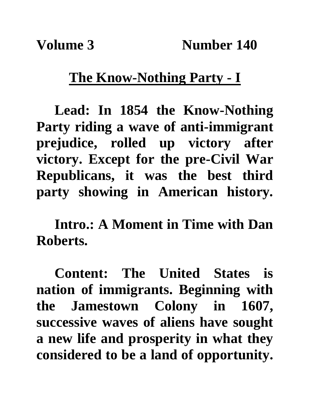## **The Know-Nothing Party - I**

**Lead: In 1854 the Know-Nothing Party riding a wave of anti-immigrant prejudice, rolled up victory after victory. Except for the pre-Civil War Republicans, it was the best third party showing in American history.**

**Intro.: A Moment in Time with Dan Roberts.**

**Content: The United States is nation of immigrants. Beginning with the Jamestown Colony in 1607, successive waves of aliens have sought a new life and prosperity in what they considered to be a land of opportunity.**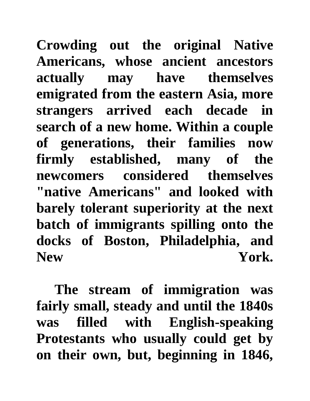**Crowding out the original Native Americans, whose ancient ancestors actually may have themselves emigrated from the eastern Asia, more strangers arrived each decade in search of a new home. Within a couple of generations, their families now firmly established, many of the newcomers considered themselves "native Americans" and looked with barely tolerant superiority at the next batch of immigrants spilling onto the docks of Boston, Philadelphia, and**  New York.

**The stream of immigration was fairly small, steady and until the 1840s was filled with English-speaking Protestants who usually could get by on their own, but, beginning in 1846,**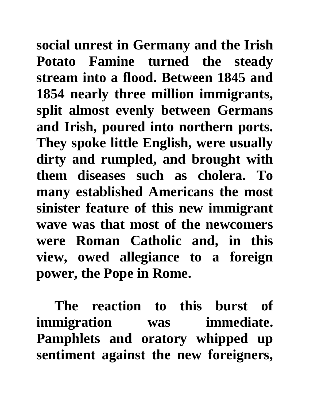**social unrest in Germany and the Irish Potato Famine turned the steady stream into a flood. Between 1845 and 1854 nearly three million immigrants, split almost evenly between Germans and Irish, poured into northern ports. They spoke little English, were usually dirty and rumpled, and brought with them diseases such as cholera. To many established Americans the most sinister feature of this new immigrant wave was that most of the newcomers were Roman Catholic and, in this view, owed allegiance to a foreign power, the Pope in Rome.** 

**The reaction to this burst of immigration was immediate. Pamphlets and oratory whipped up sentiment against the new foreigners,**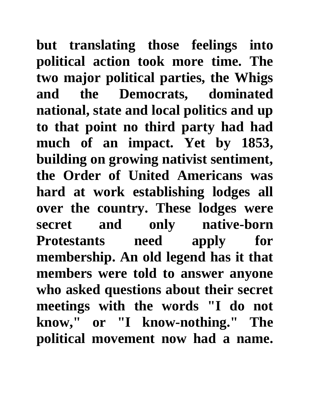**but translating those feelings into political action took more time. The two major political parties, the Whigs and the Democrats, dominated national, state and local politics and up to that point no third party had had much of an impact. Yet by 1853, building on growing nativist sentiment, the Order of United Americans was hard at work establishing lodges all over the country. These lodges were secret and only native-born Protestants need apply for membership. An old legend has it that members were told to answer anyone who asked questions about their secret meetings with the words "I do not know," or "I know-nothing." The political movement now had a name.**